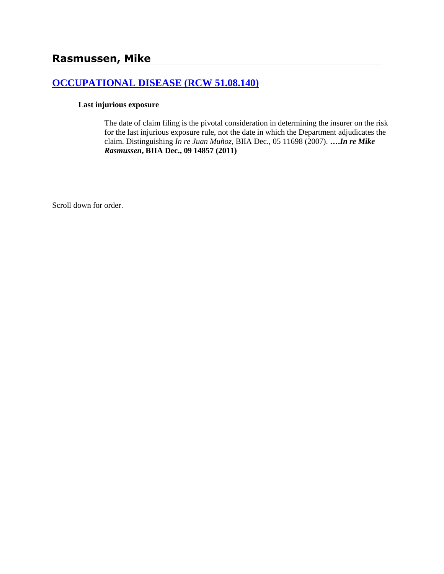# **[OCCUPATIONAL DISEASE \(RCW 51.08.140\)](http://www.biia.wa.gov/SDSubjectIndex.html#OCCUPATIONAL_DISEASE)**

#### **Last injurious exposure**

The date of claim filing is the pivotal consideration in determining the insurer on the risk for the last injurious exposure rule, not the date in which the Department adjudicates the claim. Distinguishing *In re Juan Muñoz*, BIIA Dec., 05 11698 (2007). **….***In re Mike Rasmussen***, BIIA Dec., 09 14857 (2011)**

Scroll down for order.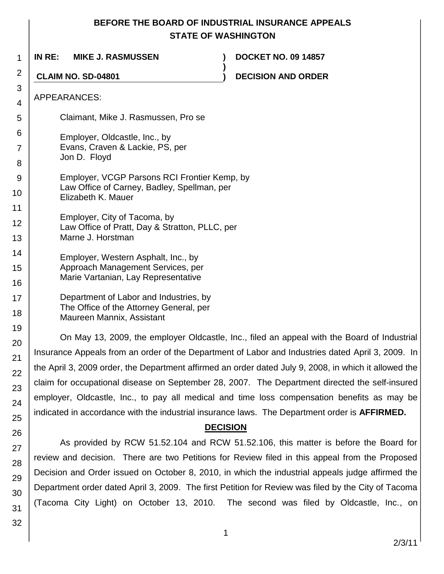## **BEFORE THE BOARD OF INDUSTRIAL INSURANCE APPEALS STATE OF WASHINGTON**

| 1              | IN RE:<br><b>MIKE J. RASMUSSEN</b><br><b>DOCKET NO. 09 14857</b>                                      |
|----------------|-------------------------------------------------------------------------------------------------------|
| 2              | <b>CLAIM NO. SD-04801</b><br><b>DECISION AND ORDER</b>                                                |
| 3              |                                                                                                       |
| $\overline{4}$ | APPEARANCES:                                                                                          |
| 5              | Claimant, Mike J. Rasmussen, Pro se                                                                   |
| 6              | Employer, Oldcastle, Inc., by                                                                         |
| $\overline{7}$ | Evans, Craven & Lackie, PS, per                                                                       |
| 8              | Jon D. Floyd                                                                                          |
| 9              | Employer, VCGP Parsons RCI Frontier Kemp, by                                                          |
| 10             | Law Office of Carney, Badley, Spellman, per<br>Elizabeth K. Mauer                                     |
| 11             |                                                                                                       |
| 12             | Employer, City of Tacoma, by<br>Law Office of Pratt, Day & Stratton, PLLC, per                        |
| 13             | Marne J. Horstman                                                                                     |
| 14             | Employer, Western Asphalt, Inc., by                                                                   |
| 15             | Approach Management Services, per<br>Marie Vartanian, Lay Representative                              |
| 16             |                                                                                                       |
| 17             | Department of Labor and Industries, by<br>The Office of the Attorney General, per                     |
| 18             | Maureen Mannix, Assistant                                                                             |
| 19             | On May 13, 2009, the employer Oldcastle, Inc., filed an appeal with the Board of Industrial           |
| 20             | Insurance Appeals from an order of the Department of Labor and Industries dated April 3, 2009. In     |
| 21             | the April 3, 2009 order, the Department affirmed an order dated July 9, 2008, in which it allowed the |
| 22             | claim for occupational disease on September 28, 2007. The Department directed the self-insured        |
| 23             |                                                                                                       |

claim for occupational disease on September 28, 2007. The Department directed the self-insured employer, Oldcastle, Inc., to pay all medical and time loss compensation benefits as may be indicated in accordance with the industrial insurance laws. The Department order is **AFFIRMED.**

#### **DECISION**

As provided by RCW 51.52.104 and RCW 51.52.106, this matter is before the Board for review and decision. There are two Petitions for Review filed in this appeal from the Proposed Decision and Order issued on October 8, 2010, in which the industrial appeals judge affirmed the Department order dated April 3, 2009. The first Petition for Review was filed by the City of Tacoma (Tacoma City Light) on October 13, 2010. The second was filed by Oldcastle, Inc., on

30 31 32

24

25

26

27

28

29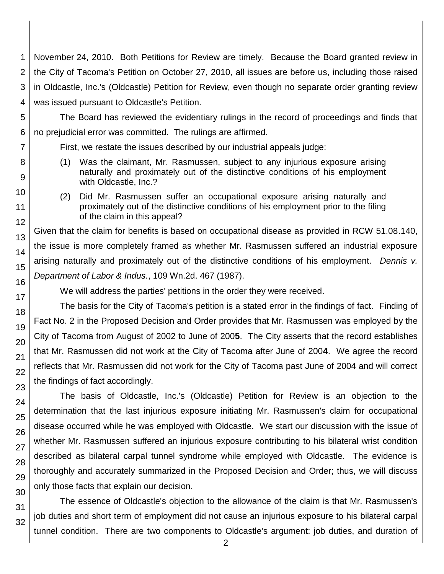1 2 3 4 November 24, 2010. Both Petitions for Review are timely. Because the Board granted review in the City of Tacoma's Petition on October 27, 2010, all issues are before us, including those raised in Oldcastle, Inc.'s (Oldcastle) Petition for Review, even though no separate order granting review was issued pursuant to Oldcastle's Petition.

The Board has reviewed the evidentiary rulings in the record of proceedings and finds that

First, we restate the issues described by our industrial appeals judge:

no prejudicial error was committed. The rulings are affirmed.

- (1) Was the claimant, Mr. Rasmussen, subject to any injurious exposure arising naturally and proximately out of the distinctive conditions of his employment with Oldcastle, Inc.?
	- (2) Did Mr. Rasmussen suffer an occupational exposure arising naturally and proximately out of the distinctive conditions of his employment prior to the filing of the claim in this appeal?

Given that the claim for benefits is based on occupational disease as provided in RCW 51.08.140, the issue is more completely framed as whether Mr. Rasmussen suffered an industrial exposure arising naturally and proximately out of the distinctive conditions of his employment. *Dennis v. Department of Labor & Indus.*, 109 Wn.2d. 467 (1987).

We will address the parties' petitions in the order they were received.

The basis for the City of Tacoma's petition is a stated error in the findings of fact. Finding of Fact No. 2 in the Proposed Decision and Order provides that Mr. Rasmussen was employed by the City of Tacoma from August of 2002 to June of 200**5**. The City asserts that the record establishes that Mr. Rasmussen did not work at the City of Tacoma after June of 200**4**. We agree the record reflects that Mr. Rasmussen did not work for the City of Tacoma past June of 2004 and will correct the findings of fact accordingly.

The basis of Oldcastle, Inc.'s (Oldcastle) Petition for Review is an objection to the determination that the last injurious exposure initiating Mr. Rasmussen's claim for occupational disease occurred while he was employed with Oldcastle. We start our discussion with the issue of whether Mr. Rasmussen suffered an injurious exposure contributing to his bilateral wrist condition described as bilateral carpal tunnel syndrome while employed with Oldcastle. The evidence is thoroughly and accurately summarized in the Proposed Decision and Order; thus, we will discuss only those facts that explain our decision.

The essence of Oldcastle's objection to the allowance of the claim is that Mr. Rasmussen's job duties and short term of employment did not cause an injurious exposure to his bilateral carpal tunnel condition. There are two components to Oldcastle's argument: job duties, and duration of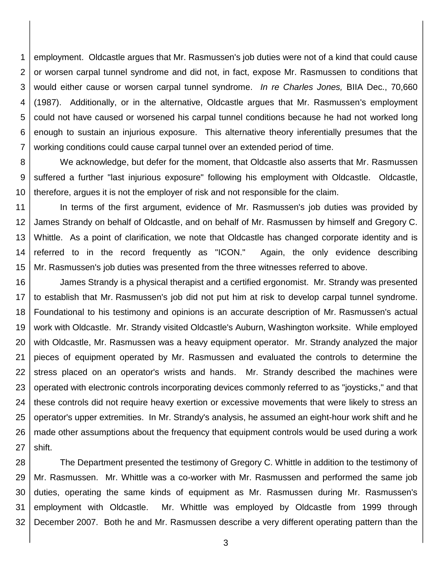1 2 3 4 5 6 7 employment. Oldcastle argues that Mr. Rasmussen's job duties were not of a kind that could cause or worsen carpal tunnel syndrome and did not, in fact, expose Mr. Rasmussen to conditions that would either cause or worsen carpal tunnel syndrome. *In re Charles Jones,* BIIA Dec., 70,660 (1987). Additionally, or in the alternative, Oldcastle argues that Mr. Rasmussen's employment could not have caused or worsened his carpal tunnel conditions because he had not worked long enough to sustain an injurious exposure. This alternative theory inferentially presumes that the working conditions could cause carpal tunnel over an extended period of time.

8 9 10 We acknowledge, but defer for the moment, that Oldcastle also asserts that Mr. Rasmussen suffered a further "last injurious exposure" following his employment with Oldcastle. Oldcastle, therefore, argues it is not the employer of risk and not responsible for the claim.

11 12 13 14 15 In terms of the first argument, evidence of Mr. Rasmussen's job duties was provided by James Strandy on behalf of Oldcastle, and on behalf of Mr. Rasmussen by himself and Gregory C. Whittle. As a point of clarification, we note that Oldcastle has changed corporate identity and is referred to in the record frequently as "ICON." Again, the only evidence describing Mr. Rasmussen's job duties was presented from the three witnesses referred to above.

16 17 18 19 20 21 22 23 24 25 26 27 James Strandy is a physical therapist and a certified ergonomist. Mr. Strandy was presented to establish that Mr. Rasmussen's job did not put him at risk to develop carpal tunnel syndrome. Foundational to his testimony and opinions is an accurate description of Mr. Rasmussen's actual work with Oldcastle. Mr. Strandy visited Oldcastle's Auburn, Washington worksite. While employed with Oldcastle, Mr. Rasmussen was a heavy equipment operator. Mr. Strandy analyzed the major pieces of equipment operated by Mr. Rasmussen and evaluated the controls to determine the stress placed on an operator's wrists and hands. Mr. Strandy described the machines were operated with electronic controls incorporating devices commonly referred to as "joysticks," and that these controls did not require heavy exertion or excessive movements that were likely to stress an operator's upper extremities. In Mr. Strandy's analysis, he assumed an eight-hour work shift and he made other assumptions about the frequency that equipment controls would be used during a work shift.

28 29 30 31 32 The Department presented the testimony of Gregory C. Whittle in addition to the testimony of Mr. Rasmussen. Mr. Whittle was a co-worker with Mr. Rasmussen and performed the same job duties, operating the same kinds of equipment as Mr. Rasmussen during Mr. Rasmussen's employment with Oldcastle. Mr. Whittle was employed by Oldcastle from 1999 through December 2007. Both he and Mr. Rasmussen describe a very different operating pattern than the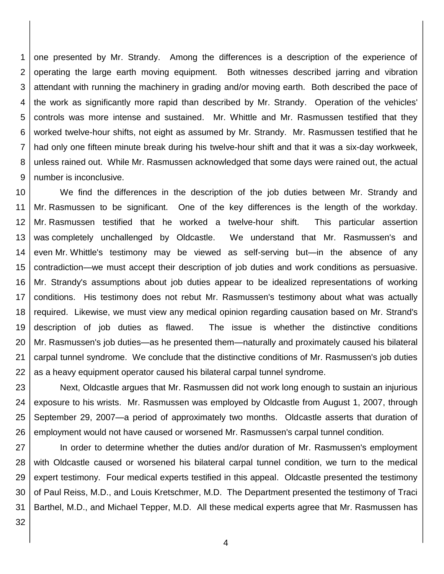1 2 3 4 5 6 7 8 9 one presented by Mr. Strandy. Among the differences is a description of the experience of operating the large earth moving equipment. Both witnesses described jarring and vibration attendant with running the machinery in grading and/or moving earth. Both described the pace of the work as significantly more rapid than described by Mr. Strandy. Operation of the vehicles' controls was more intense and sustained. Mr. Whittle and Mr. Rasmussen testified that they worked twelve-hour shifts, not eight as assumed by Mr. Strandy. Mr. Rasmussen testified that he had only one fifteen minute break during his twelve-hour shift and that it was a six-day workweek, unless rained out. While Mr. Rasmussen acknowledged that some days were rained out, the actual number is inconclusive.

10 11 12 13 14 15 16 17 18 19 20 21 22 We find the differences in the description of the job duties between Mr. Strandy and Mr. Rasmussen to be significant. One of the key differences is the length of the workday. Mr. Rasmussen testified that he worked a twelve-hour shift. This particular assertion was completely unchallenged by Oldcastle. We understand that Mr. Rasmussen's and even Mr. Whittle's testimony may be viewed as self-serving but—in the absence of any contradiction—we must accept their description of job duties and work conditions as persuasive. Mr. Strandy's assumptions about job duties appear to be idealized representations of working conditions. His testimony does not rebut Mr. Rasmussen's testimony about what was actually required. Likewise, we must view any medical opinion regarding causation based on Mr. Strand's description of job duties as flawed. The issue is whether the distinctive conditions Mr. Rasmussen's job duties—as he presented them—naturally and proximately caused his bilateral carpal tunnel syndrome. We conclude that the distinctive conditions of Mr. Rasmussen's job duties as a heavy equipment operator caused his bilateral carpal tunnel syndrome.

23 24 25 26 Next, Oldcastle argues that Mr. Rasmussen did not work long enough to sustain an injurious exposure to his wrists. Mr. Rasmussen was employed by Oldcastle from August 1, 2007, through September 29, 2007—a period of approximately two months. Oldcastle asserts that duration of employment would not have caused or worsened Mr. Rasmussen's carpal tunnel condition.

27 28 29 30 31 In order to determine whether the duties and/or duration of Mr. Rasmussen's employment with Oldcastle caused or worsened his bilateral carpal tunnel condition, we turn to the medical expert testimony. Four medical experts testified in this appeal. Oldcastle presented the testimony of Paul Reiss, M.D., and Louis Kretschmer, M.D. The Department presented the testimony of Traci Barthel, M.D., and Michael Tepper, M.D. All these medical experts agree that Mr. Rasmussen has

32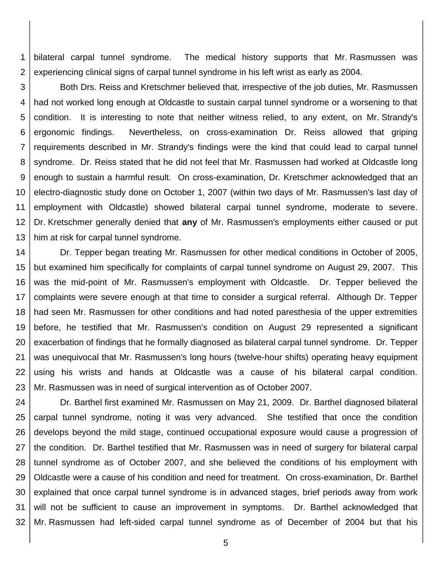1 2 bilateral carpal tunnel syndrome. The medical history supports that Mr. Rasmussen was experiencing clinical signs of carpal tunnel syndrome in his left wrist as early as 2004.

3 4 5 6 7 8 9 10 11 12 13 Both Drs. Reiss and Kretschmer believed that, irrespective of the job duties, Mr. Rasmussen had not worked long enough at Oldcastle to sustain carpal tunnel syndrome or a worsening to that condition. It is interesting to note that neither witness relied, to any extent, on Mr. Strandy's ergonomic findings. Nevertheless, on cross-examination Dr. Reiss allowed that griping requirements described in Mr. Strandy's findings were the kind that could lead to carpal tunnel syndrome. Dr. Reiss stated that he did not feel that Mr. Rasmussen had worked at Oldcastle long enough to sustain a harmful result. On cross-examination, Dr. Kretschmer acknowledged that an electro-diagnostic study done on October 1, 2007 (within two days of Mr. Rasmussen's last day of employment with Oldcastle) showed bilateral carpal tunnel syndrome, moderate to severe. Dr. Kretschmer generally denied that **any** of Mr. Rasmussen's employments either caused or put him at risk for carpal tunnel syndrome.

14 15 16 17 18 19 20 21 22 23 Dr. Tepper began treating Mr. Rasmussen for other medical conditions in October of 2005, but examined him specifically for complaints of carpal tunnel syndrome on August 29, 2007. This was the mid-point of Mr. Rasmussen's employment with Oldcastle. Dr. Tepper believed the complaints were severe enough at that time to consider a surgical referral. Although Dr. Tepper had seen Mr. Rasmussen for other conditions and had noted paresthesia of the upper extremities before, he testified that Mr. Rasmussen's condition on August 29 represented a significant exacerbation of findings that he formally diagnosed as bilateral carpal tunnel syndrome. Dr. Tepper was unequivocal that Mr. Rasmussen's long hours (twelve-hour shifts) operating heavy equipment using his wrists and hands at Oldcastle was a cause of his bilateral carpal condition. Mr. Rasmussen was in need of surgical intervention as of October 2007.

24 25 26 27 28 29 30 31 32 Dr. Barthel first examined Mr. Rasmussen on May 21, 2009. Dr. Barthel diagnosed bilateral carpal tunnel syndrome, noting it was very advanced. She testified that once the condition develops beyond the mild stage, continued occupational exposure would cause a progression of the condition. Dr. Barthel testified that Mr. Rasmussen was in need of surgery for bilateral carpal tunnel syndrome as of October 2007, and she believed the conditions of his employment with Oldcastle were a cause of his condition and need for treatment. On cross-examination, Dr. Barthel explained that once carpal tunnel syndrome is in advanced stages, brief periods away from work will not be sufficient to cause an improvement in symptoms. Dr. Barthel acknowledged that Mr. Rasmussen had left-sided carpal tunnel syndrome as of December of 2004 but that his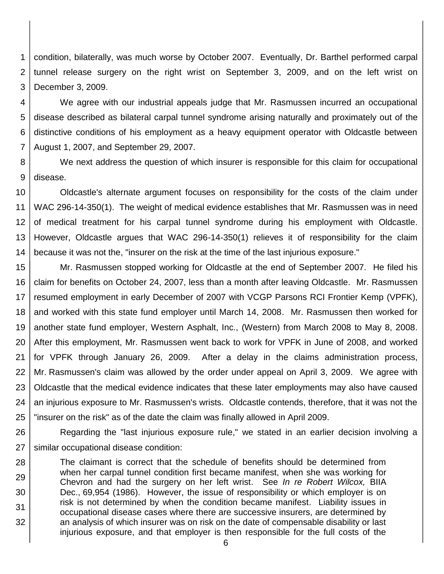1 2 3 condition, bilaterally, was much worse by October 2007. Eventually, Dr. Barthel performed carpal tunnel release surgery on the right wrist on September 3, 2009, and on the left wrist on December 3, 2009.

4 5 6 7 We agree with our industrial appeals judge that Mr. Rasmussen incurred an occupational disease described as bilateral carpal tunnel syndrome arising naturally and proximately out of the distinctive conditions of his employment as a heavy equipment operator with Oldcastle between August 1, 2007, and September 29, 2007.

8 9 We next address the question of which insurer is responsible for this claim for occupational disease.

10 11 12 13 14 Oldcastle's alternate argument focuses on responsibility for the costs of the claim under WAC 296-14-350(1). The weight of medical evidence establishes that Mr. Rasmussen was in need of medical treatment for his carpal tunnel syndrome during his employment with Oldcastle. However, Oldcastle argues that WAC 296-14-350(1) relieves it of responsibility for the claim because it was not the, "insurer on the risk at the time of the last injurious exposure."

15 16 17 18 19 20 21 22 23 24 25 Mr. Rasmussen stopped working for Oldcastle at the end of September 2007. He filed his claim for benefits on October 24, 2007, less than a month after leaving Oldcastle. Mr. Rasmussen resumed employment in early December of 2007 with VCGP Parsons RCI Frontier Kemp (VPFK), and worked with this state fund employer until March 14, 2008. Mr. Rasmussen then worked for another state fund employer, Western Asphalt, Inc., (Western) from March 2008 to May 8, 2008. After this employment, Mr. Rasmussen went back to work for VPFK in June of 2008, and worked for VPFK through January 26, 2009. After a delay in the claims administration process, Mr. Rasmussen's claim was allowed by the order under appeal on April 3, 2009. We agree with Oldcastle that the medical evidence indicates that these later employments may also have caused an injurious exposure to Mr. Rasmussen's wrists. Oldcastle contends, therefore, that it was not the "insurer on the risk" as of the date the claim was finally allowed in April 2009.

26 27 Regarding the "last injurious exposure rule," we stated in an earlier decision involving a similar occupational disease condition:

28 29 30 31 32 The claimant is correct that the schedule of benefits should be determined from when her carpal tunnel condition first became manifest, when she was working for Chevron and had the surgery on her left wrist. See *In re Robert Wilcox,* BIIA Dec., 69,954 (1986). However, the issue of responsibility or which employer is on risk is not determined by when the condition became manifest. Liability issues in occupational disease cases where there are successive insurers, are determined by an analysis of which insurer was on risk on the date of compensable disability or last injurious exposure, and that employer is then responsible for the full costs of the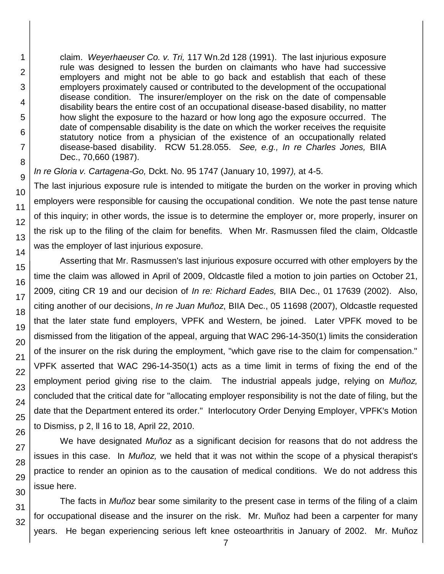claim. *Weyerhaeuser Co. v. Tri,* 117 Wn.2d 128 (1991). The last injurious exposure rule was designed to lessen the burden on claimants who have had successive employers and might not be able to go back and establish that each of these employers proximately caused or contributed to the development of the occupational disease condition. The insurer/employer on the risk on the date of compensable disability bears the entire cost of an occupational disease-based disability, no matter how slight the exposure to the hazard or how long ago the exposure occurred. The date of compensable disability is the date on which the worker receives the requisite statutory notice from a physician of the existence of an occupationally related disease-based disability. RCW 51.28.055. *See, e.g., In re Charles Jones,* BIIA Dec., 70,660 (1987).

*In re Gloria v. Cartagena-Go,* Dckt. No. 95 1747 (January 10, 1997*),* at 4-5.

The last injurious exposure rule is intended to mitigate the burden on the worker in proving which employers were responsible for causing the occupational condition. We note the past tense nature of this inquiry; in other words, the issue is to determine the employer or, more properly, insurer on the risk up to the filing of the claim for benefits. When Mr. Rasmussen filed the claim, Oldcastle was the employer of last injurious exposure.

Asserting that Mr. Rasmussen's last injurious exposure occurred with other employers by the time the claim was allowed in April of 2009, Oldcastle filed a motion to join parties on October 21, 2009, citing CR 19 and our decision of *In re: Richard Eades,* BIIA Dec., 01 17639 (2002). Also, citing another of our decisions, *In re Juan Muñoz*, BIIA Dec., 05 11698 (2007), Oldcastle requested that the later state fund employers, VPFK and Western, be joined. Later VPFK moved to be dismissed from the litigation of the appeal, arguing that WAC 296-14-350(1) limits the consideration of the insurer on the risk during the employment, "which gave rise to the claim for compensation." VPFK asserted that WAC 296-14-350(1) acts as a time limit in terms of fixing the end of the employment period giving rise to the claim. The industrial appeals judge, relying on *Muñoz,* concluded that the critical date for "allocating employer responsibility is not the date of filing, but the date that the Department entered its order." Interlocutory Order Denying Employer, VPFK's Motion to Dismiss, p 2, ll 16 to 18, April 22, 2010.

We have designated *Muñoz* as a significant decision for reasons that do not address the issues in this case. In *Muñoz,* we held that it was not within the scope of a physical therapist's practice to render an opinion as to the causation of medical conditions. We do not address this issue here.

The facts in *Muñoz* bear some similarity to the present case in terms of the filing of a claim for occupational disease and the insurer on the risk. Mr. Muñoz had been a carpenter for many years. He began experiencing serious left knee osteoarthritis in January of 2002. Mr. Muñoz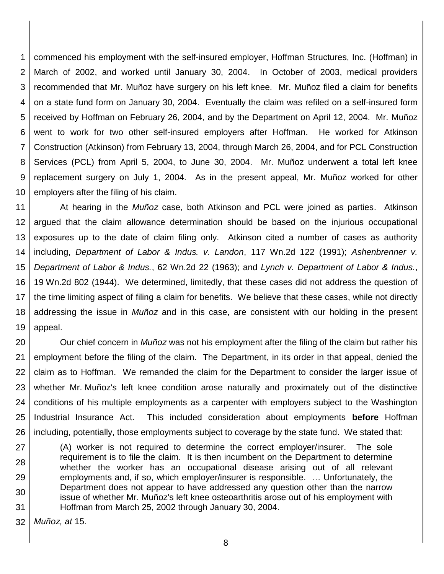1 2 3 4 5 6 7 8 9 10 commenced his employment with the self-insured employer, Hoffman Structures, Inc. (Hoffman) in March of 2002, and worked until January 30, 2004. In October of 2003, medical providers recommended that Mr. Muñoz have surgery on his left knee. Mr. Muñoz filed a claim for benefits on a state fund form on January 30, 2004. Eventually the claim was refiled on a self-insured form received by Hoffman on February 26, 2004, and by the Department on April 12, 2004. Mr. Muñoz went to work for two other self-insured employers after Hoffman. He worked for Atkinson Construction (Atkinson) from February 13, 2004, through March 26, 2004, and for PCL Construction Services (PCL) from April 5, 2004, to June 30, 2004. Mr. Muñoz underwent a total left knee replacement surgery on July 1, 2004. As in the present appeal, Mr. Muñoz worked for other employers after the filing of his claim.

11 12 13 14 15 16 17 18 19 At hearing in the *Muñoz* case, both Atkinson and PCL were joined as parties. Atkinson argued that the claim allowance determination should be based on the injurious occupational exposures up to the date of claim filing only. Atkinson cited a number of cases as authority including, *Department of Labor & Indus. v. Landon*, 117 Wn.2d 122 (1991); *Ashenbrenner v. Department of Labor & Indus.*, 62 Wn.2d 22 (1963); and *Lynch v. Department of Labor & Indus.*, 19 Wn.2d 802 (1944). We determined, limitedly, that these cases did not address the question of the time limiting aspect of filing a claim for benefits. We believe that these cases, while not directly addressing the issue in *Muñoz* and in this case, are consistent with our holding in the present appeal.

20 21 22 23 24 25 26 Our chief concern in *Muñoz* was not his employment after the filing of the claim but rather his employment before the filing of the claim. The Department, in its order in that appeal, denied the claim as to Hoffman. We remanded the claim for the Department to consider the larger issue of whether Mr. Muñoz's left knee condition arose naturally and proximately out of the distinctive conditions of his multiple employments as a carpenter with employers subject to the Washington Industrial Insurance Act. This included consideration about employments **before** Hoffman including, potentially, those employments subject to coverage by the state fund. We stated that:

27 28 29 30 31 (A) worker is not required to determine the correct employer/insurer. The sole requirement is to file the claim. It is then incumbent on the Department to determine whether the worker has an occupational disease arising out of all relevant employments and, if so, which employer/insurer is responsible. … Unfortunately, the Department does not appear to have addressed any question other than the narrow issue of whether Mr. Muñoz's left knee osteoarthritis arose out of his employment with Hoffman from March 25, 2002 through January 30, 2004.

32 *Muñoz, at* 15.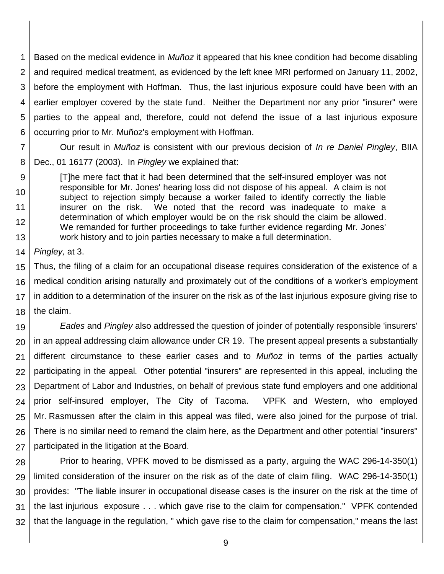1 2 3 4 5 6 Based on the medical evidence in *Muñoz* it appeared that his knee condition had become disabling and required medical treatment, as evidenced by the left knee MRI performed on January 11, 2002, before the employment with Hoffman. Thus, the last injurious exposure could have been with an earlier employer covered by the state fund. Neither the Department nor any prior "insurer" were parties to the appeal and, therefore, could not defend the issue of a last injurious exposure occurring prior to Mr. Muñoz's employment with Hoffman.

7 8 Our result in *Muñoz* is consistent with our previous decision of *In re Daniel Pingley*, BIIA Dec., 01 16177 (2003). In *Pingley* we explained that:

9 10 11 12 13 [T]he mere fact that it had been determined that the self-insured employer was not responsible for Mr. Jones' hearing loss did not dispose of his appeal. A claim is not subject to rejection simply because a worker failed to identify correctly the liable insurer on the risk. We noted that the record was inadequate to make a determination of which employer would be on the risk should the claim be allowed. We remanded for further proceedings to take further evidence regarding Mr. Jones' work history and to join parties necessary to make a full determination.

14 *Pingley,* at 3.

15 16 17 18 Thus, the filing of a claim for an occupational disease requires consideration of the existence of a medical condition arising naturally and proximately out of the conditions of a worker's employment in addition to a determination of the insurer on the risk as of the last injurious exposure giving rise to the claim.

19 20 21 22 23 24 25 26 27 *Eades* and *Pingley* also addressed the question of joinder of potentially responsible 'insurers' in an appeal addressing claim allowance under CR 19. The present appeal presents a substantially different circumstance to these earlier cases and to *Muñoz* in terms of the parties actually participating in the appeal*.* Other potential "insurers" are represented in this appeal, including the Department of Labor and Industries, on behalf of previous state fund employers and one additional prior self-insured employer, The City of Tacoma. VPFK and Western, who employed Mr. Rasmussen after the claim in this appeal was filed, were also joined for the purpose of trial. There is no similar need to remand the claim here, as the Department and other potential "insurers" participated in the litigation at the Board.

28 29 30 31 32 Prior to hearing, VPFK moved to be dismissed as a party, arguing the WAC 296-14-350(1) limited consideration of the insurer on the risk as of the date of claim filing. WAC 296-14-350(1) provides: "The liable insurer in occupational disease cases is the insurer on the risk at the time of the last injurious exposure . . . which gave rise to the claim for compensation." VPFK contended that the language in the regulation, " which gave rise to the claim for compensation," means the last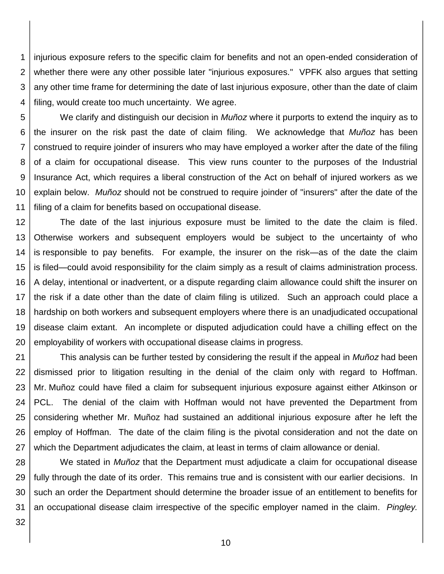1 2 3 4 injurious exposure refers to the specific claim for benefits and not an open-ended consideration of whether there were any other possible later "injurious exposures." VPFK also argues that setting any other time frame for determining the date of last injurious exposure, other than the date of claim filing, would create too much uncertainty. We agree.

5 6 7 8 9 10 11 We clarify and distinguish our decision in *Muñoz* where it purports to extend the inquiry as to the insurer on the risk past the date of claim filing. We acknowledge that *Muñoz* has been construed to require joinder of insurers who may have employed a worker after the date of the filing of a claim for occupational disease. This view runs counter to the purposes of the Industrial Insurance Act, which requires a liberal construction of the Act on behalf of injured workers as we explain below. *Muñoz* should not be construed to require joinder of "insurers" after the date of the filing of a claim for benefits based on occupational disease.

12 13 14 15 16 17 18 19 20 The date of the last injurious exposure must be limited to the date the claim is filed. Otherwise workers and subsequent employers would be subject to the uncertainty of who is responsible to pay benefits. For example, the insurer on the risk—as of the date the claim is filed—could avoid responsibility for the claim simply as a result of claims administration process. A delay, intentional or inadvertent, or a dispute regarding claim allowance could shift the insurer on the risk if a date other than the date of claim filing is utilized. Such an approach could place a hardship on both workers and subsequent employers where there is an unadjudicated occupational disease claim extant. An incomplete or disputed adjudication could have a chilling effect on the employability of workers with occupational disease claims in progress.

21 22 23 24 25 26 27 This analysis can be further tested by considering the result if the appeal in *Muñoz* had been dismissed prior to litigation resulting in the denial of the claim only with regard to Hoffman. Mr. Muñoz could have filed a claim for subsequent injurious exposure against either Atkinson or PCL. The denial of the claim with Hoffman would not have prevented the Department from considering whether Mr. Muñoz had sustained an additional injurious exposure after he left the employ of Hoffman. The date of the claim filing is the pivotal consideration and not the date on which the Department adjudicates the claim, at least in terms of claim allowance or denial.

28 29 30 31 We stated in *Muñoz* that the Department must adjudicate a claim for occupational disease fully through the date of its order. This remains true and is consistent with our earlier decisions. In such an order the Department should determine the broader issue of an entitlement to benefits for an occupational disease claim irrespective of the specific employer named in the claim. *Pingley.* 

32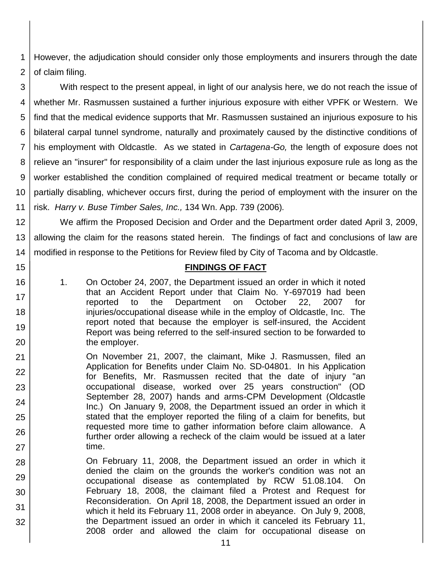1 2 However, the adjudication should consider only those employments and insurers through the date of claim filing.

3 4 5 6 7 8 9 10 11 With respect to the present appeal, in light of our analysis here, we do not reach the issue of whether Mr. Rasmussen sustained a further injurious exposure with either VPFK or Western. We find that the medical evidence supports that Mr. Rasmussen sustained an injurious exposure to his bilateral carpal tunnel syndrome, naturally and proximately caused by the distinctive conditions of his employment with Oldcastle. As we stated in *Cartagena-Go,* the length of exposure does not relieve an "insurer" for responsibility of a claim under the last injurious exposure rule as long as the worker established the condition complained of required medical treatment or became totally or partially disabling, whichever occurs first, during the period of employment with the insurer on the risk. *Harry v. Buse Timber Sales, Inc.,* 134 Wn. App. 739 (2006)*.*

12 13 14 We affirm the Proposed Decision and Order and the Department order dated April 3, 2009, allowing the claim for the reasons stated herein. The findings of fact and conclusions of law are modified in response to the Petitions for Review filed by City of Tacoma and by Oldcastle.

#### **FINDINGS OF FACT**

1. On October 24, 2007, the Department issued an order in which it noted that an Accident Report under that Claim No. Y-697019 had been reported to the Department on October 22, 2007 for injuries/occupational disease while in the employ of Oldcastle, Inc. The report noted that because the employer is self-insured, the Accident Report was being referred to the self-insured section to be forwarded to the employer.

15

16

17

18

19

- 21 22 23 24 25 26 27 On November 21, 2007, the claimant, Mike J. Rasmussen, filed an Application for Benefits under Claim No. SD-04801. In his Application for Benefits, Mr. Rasmussen recited that the date of injury "an occupational disease, worked over 25 years construction" (OD September 28, 2007) hands and arms-CPM Development (Oldcastle Inc.) On January 9, 2008, the Department issued an order in which it stated that the employer reported the filing of a claim for benefits, but requested more time to gather information before claim allowance. A further order allowing a recheck of the claim would be issued at a later time.
- 28 29 30 31 32 On February 11, 2008, the Department issued an order in which it denied the claim on the grounds the worker's condition was not an occupational disease as contemplated by RCW 51.08.104. On February 18, 2008, the claimant filed a Protest and Request for Reconsideration. On April 18, 2008, the Department issued an order in which it held its February 11, 2008 order in abeyance. On July 9, 2008, the Department issued an order in which it canceled its February 11, 2008 order and allowed the claim for occupational disease on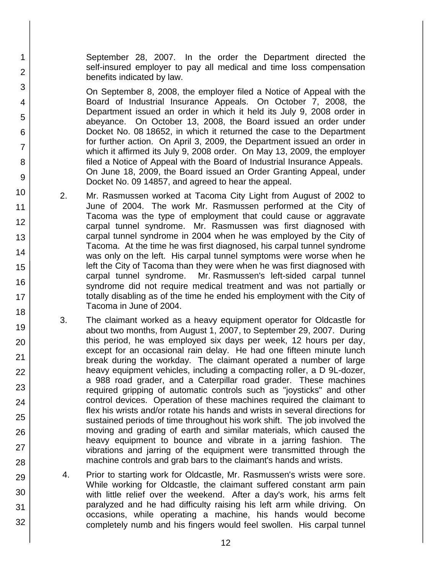September 28, 2007. In the order the Department directed the self-insured employer to pay all medical and time loss compensation benefits indicated by law.

1

2

3

4

5

6

7

8

9

10

11 12

13

14

15

16

17

18

19

20

21 22

23

24

25

26

27

28

29

30

31

32

On September 8, 2008, the employer filed a Notice of Appeal with the Board of Industrial Insurance Appeals. On October 7, 2008, the Department issued an order in which it held its July 9, 2008 order in abeyance. On October 13, 2008, the Board issued an order under Docket No. 08 18652, in which it returned the case to the Department for further action. On April 3, 2009, the Department issued an order in which it affirmed its July 9, 2008 order. On May 13, 2009, the employer filed a Notice of Appeal with the Board of Industrial Insurance Appeals. On June 18, 2009, the Board issued an Order Granting Appeal, under Docket No. 09 14857, and agreed to hear the appeal.

- 2. Mr. Rasmussen worked at Tacoma City Light from August of 2002 to June of 2004. The work Mr. Rasmussen performed at the City of Tacoma was the type of employment that could cause or aggravate carpal tunnel syndrome. Mr. Rasmussen was first diagnosed with carpal tunnel syndrome in 2004 when he was employed by the City of Tacoma. At the time he was first diagnosed, his carpal tunnel syndrome was only on the left. His carpal tunnel symptoms were worse when he left the City of Tacoma than they were when he was first diagnosed with carpal tunnel syndrome. Mr. Rasmussen's left-sided carpal tunnel syndrome did not require medical treatment and was not partially or totally disabling as of the time he ended his employment with the City of Tacoma in June of 2004.
- 3. The claimant worked as a heavy equipment operator for Oldcastle for about two months, from August 1, 2007, to September 29, 2007. During this period, he was employed six days per week, 12 hours per day, except for an occasional rain delay. He had one fifteen minute lunch break during the workday. The claimant operated a number of large heavy equipment vehicles, including a compacting roller, a D 9L-dozer, a 988 road grader, and a Caterpillar road grader. These machines required gripping of automatic controls such as "joysticks" and other control devices. Operation of these machines required the claimant to flex his wrists and/or rotate his hands and wrists in several directions for sustained periods of time throughout his work shift. The job involved the moving and grading of earth and similar materials, which caused the heavy equipment to bounce and vibrate in a jarring fashion. The vibrations and jarring of the equipment were transmitted through the machine controls and grab bars to the claimant's hands and wrists.
- 4. Prior to starting work for Oldcastle, Mr. Rasmussen's wrists were sore. While working for Oldcastle, the claimant suffered constant arm pain with little relief over the weekend. After a day's work, his arms felt paralyzed and he had difficulty raising his left arm while driving. On occasions, while operating a machine, his hands would become completely numb and his fingers would feel swollen. His carpal tunnel